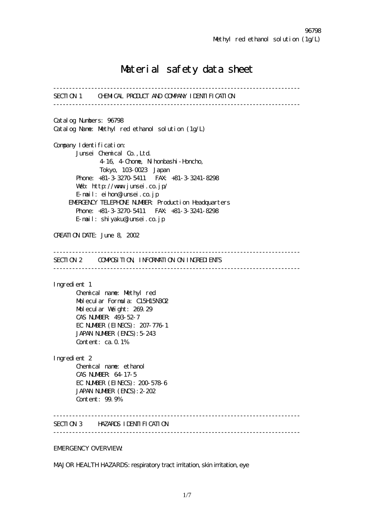## Material safety data sheet

------------------------------------------------------------------------------ SECTION 1 CHEMICAL PRODUCT AND COMPANY IDENTIFICATION ------------------------------------------------------------------------------ Catalog Numbers: 96798 Catalog Name: Methyl red ethanol solution (1g/L) Company I dentification: Junsei Chemical Co.,Ltd. 4-16, 4-Chome, Nihonbashi-Honcho, Tokyo, 103-0023 Japan Phone: +81-3-3270-5411 FAX: +81-3-3241-8298 Web: http://www.junsei.co.jp/ E-mail: eihon@junsei.co.jp EMERGENCY TELEPHONE NUMBER: Production Headquarters Phone: +81-3-3270-5411 FAX: +81-3-3241-8298 E-mail: shiyaku@junsei.co.jp CREATION DATE: June 8, 2002 ------------------------------------------------------------------------------ SECTION 2 COMPOSITION, INFORMATION ON INGREDIENTS ------------------------------------------------------------------------------ Ingredient 1 Chemical name: Methyl red Molecular Formula: C15H15N3O2 Molecular Weight: 269.29 CAS NUMBER: 493-52-7 EC NUMBER (EINECS): 207-776-1 JAPAN NUMBER (ENCS): 5-243 Content: ca. 0.1% Ingredient 2 Chemical name: ethanol CAS NUMBER: 64-17-5 EC NUMBER (EINECS): 200-578-6 JAPAN NUMBER (ENCS):2-202 Content: 99.9% ------------------------------------------------------------------------------ SECTION 3 HAZARDS IDENTIFICATION ------------------------------------------------------------------------------ EMERGENCY OVERVIEW:

MAJOR HEALTH HAZARDS: respiratory tract irritation, skin irritation, eye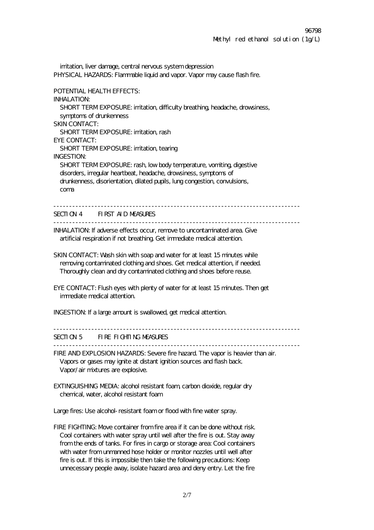irritation, liver damage, central nervous system depression PHYSICAL HAZARDS: Flammable liquid and vapor. Vapor may cause flash fire. POTENTIAL HEALTH EFFECTS: INHALATION: SHORT TERM EXPOSURE: irritation, difficulty breathing, headache, drowsiness, symptoms of drunkenness SKIN CONTACT: SHORT TERMEXPOSURE: irritation, rash EYE CONTACT: SHORT TERMEXPOSURE: irritation, tearing INGESTION: SHORT TERM EXPOSURE: rash, low body temperature, vomiting, digestive disorders, irregular heartbeat, headache, drowsiness, symptoms of drunkenness, disorientation, dilated pupils, lung congestion, convulsions, coma SECTION 4 FIRST AID MEASURES ------------------------------------------------------------------------------ INHALATION: If adverse effects occur, remove to uncontaminated area. Give artificial respiration if not breathing. Get immediate medical attention. SKIN CONTACT: Wash skin with soap and water for at least 15 minutes while removing contaminated clothing and shoes. Get medical attention, if needed. Thoroughly clean and dry contaminated clothing and shoes before reuse. EYE CONTACT: Flush eyes with plenty of water for at least 15 minutes. Then get immediate medical attention. INGESTION: If a large amount is swallowed, get medical attention. ------------------------------------------------------------------------------ SECTION 5 FIRE FIGHTING MEASURES  $-$ FIRE AND EXPLOSION HAZARDS: Severe fire hazard. The vapor is heavier than air. Vapors or gases may ignite at distant ignition sources and flash back. Vapor/air mixtures are explosive. EXTINGUISHING MEDIA: alcohol resistant foam, carbon dioxide, regular dry chemical, water, alcohol resistant foam Large fires: Use alcohol-resistant foam or flood with fine water spray. FIRE FIGHTING: Move container from fire area if it can be done without risk. Cool containers with water spray until well after the fire is out. Stay away from the ends of tanks. For fires in cargo or storage area: Cool containers with water from unmanned hose holder or monitor nozzles until well after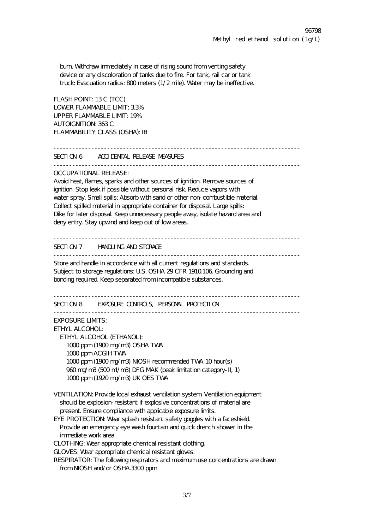burn. Withdraw immediately in case of rising sound from venting safety device or any discoloration of tanks due to fire. For tank, rail car or tank truck: Evacuation radius: 800 meters (1/2 mile). Water may be ineffective.

FLASH POINT: 13 C (TCC) LOWER FLAMMABLE LIMIT: 3.3% UPPER FLAMMABLE LIMIT: 19% AUTOIGNITION: 363 C FLAMMABILITY CLASS (OSHA): IB

------------------------------------------------------------------------------ SECTION 6 ACCIDENTAL RELEASE MEASURES

 $-$ 

OCCUPATIONAL RELEASE:

Avoid heat, flames, sparks and other sources of ignition. Remove sources of ignition. Stop leak if possible without personal risk. Reduce vapors with water spray. Small spills: Absorb with sand or other non-combustible material. Collect spilled material in appropriate container for disposal. Large spills: Dike for later disposal. Keep unnecessary people away, isolate hazard area and deny entry. Stay upwind and keep out of low areas.

------------------------------------------------------------------------------

SECTION 7 HANDLING AND STORAGE

------------------------------------------------------------------------------

Store and handle in accordance with all current regulations and standards. Subject to storage regulations: U.S. OSHA 29 CFR 1910.106. Grounding and bonding required. Keep separated from incompatible substances.

------------------------------------------------------------------------------

SECTION 8 EXPOSURE CONTROLS, PERSONAL PROTECTION

------------------------------------------------------------------------------

EXPOSURE LIMITS:

ETHYL ALCOHOL:

 ETHYL ALCOHOL (ETHANOL): 1000 ppm (1900 mg/m3) OSHA TWA 1000 ppm ACGIH TWA 1000 ppm (1900 mg/m3) NIOSH recommended TWA 10 hour(s) 960 mg/m3 (500 ml/m3) DFG MAK (peak limitation category-II, 1) 1000 ppm (1920 mg/m3) UK OES TWA

VENTILATION: Provide local exhaust ventilation system. Ventilation equipment should be explosion-resistant if explosive concentrations of material are present. Ensure compliance with applicable exposure limits.

EYE PROTECTION: Wear splash resistant safety goggles with a faceshield. Provide an emergency eye wash fountain and quick drench shower in the immediate work area.

CLOTHING: Wear appropriate chemical resistant clothing.

GLOVES: Wear appropriate chemical resistant gloves.

RESPIRATOR: The following respirators and maximum use concentrations are drawn from NIOSH and/or OSHA.3300 ppm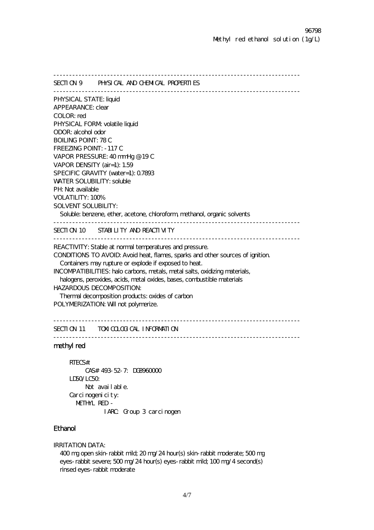------------------------------------------------------------------------------ SECTION 9 PHYSICAL AND CHEMICAL PROPERTIES ------------------------------------------------------------------------------ PHYSICAL STATE: liquid APPEARANCE: clear COLOR: red PHYSICAL FORM volatile liquid ODOR: alcohol odor BOILING POINT: 78 C FREEZING POINT: -117 C VAPOR PRESSURE: 40 mmHg @ 19 C VAPOR DENSITY (air=1): 1.59 SPECIFIC GRAVITY (water=1): 0.7893 WATER SOLUBILITY: soluble PH: Not available VOLATILITY: 100% SOLVENT SOLUBILITY: Soluble: benzene, ether, acetone, chloroform, methanol, organic solvents ------------------------------------------------------------------------------ SECTION 10 STABILITY AND REACTIVITY ------------------------------------------------------------------------------ REACTIVITY: Stable at normal temperatures and pressure. CONDITIONS TO AVOID: Avoid heat, flames, sparks and other sources of ignition. Containers may rupture or explode if exposed to heat. INCOMPATIBILITIES: halo carbons, metals, metal salts, oxidizing materials, halogens, peroxides, acids, metal oxides, bases, combustible materials HAZARDOUS DECOMPOSITION: Thermal decomposition products: oxides of carbon POLYMERIZATION: Will not polymerize.

```
------------------------------------------------------------------------------ 
SECTION 11 TOXICOLOGICAL INFORMATION
```
------------------------------------------------------------------------------

## methyl red

```
 RTECS#: 
      CAS# 493-52-7: DG8960000 
 LD50/LC50: 
     Not avail able.
Carci nogenicity:
   METHYL RED - 
             IARC: Group 3 carcinogen
```
## Ethanol

IRRITATION DATA:

400 mg open skin-rabbit mild; 20 mg/24 hour(s) skin-rabbit moderate; 500 mg eyes-rabbit severe; 500 mg/24 hour(s) eyes-rabbit mild; 100 mg/4 second(s) rinsed eyes-rabbit moderate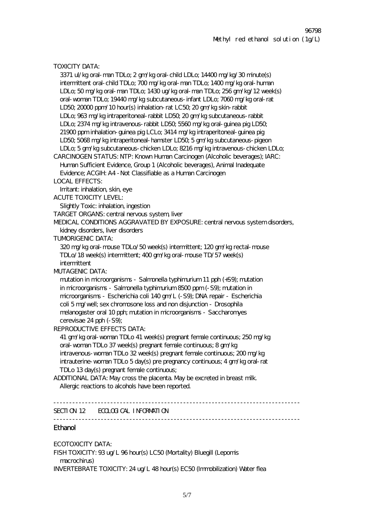TOXICITY DATA: 3371 ul/kg oral-man TDLo; 2 gm/kg oral-child LDLo; 14400 mg/kg/30 minute(s) intermittent oral-child TDLo; 700 mg/kg oral-man TDLo; 1400 mg/kg oral-human LDLo; 50 mg/kg oral-man TDLo; 1430 ug/kg oral-man TDLo; 256 gm/kg/12 week(s) oral-woman TDLo; 19440 mg/kg subcutaneous-infant LDLo; 7060 mg/kg oral-rat LD50; 20000 ppm/10 hour(s) inhalation-rat LC50; 20 gm/kg skin-rabbit LDLo; 963 mg/kg intraperitoneal-rabbit LD50; 20 gm/kg subcutaneous-rabbit LDLo; 2374 mg/kg intravenous-rabbit LD50; 5560 mg/kg oral-guinea pig LD50; 21900 ppm inhalation-guinea pig LCLo; 3414 mg/kg intraperitoneal-guinea pig LD50; 5068 mg/kg intraperitoneal-hamster LD50; 5 gm/kg subcutaneous-pigeon LDLo; 5 gm/kg subcutaneous-chicken LDLo; 8216 mg/kg intravenous-chicken LDLo; CARCINOGEN STATUS: NTP: Known Human Carcinogen (Alcoholic beverages); IARC: Human Sufficient Evidence, Group 1 (Alcoholic beverages), Animal Inadequate Evidence; ACGIH: A4 -Not Classifiable as a Human Carcinogen LOCAL EFFECTS: Irritant: inhalation, skin, eye ACUTE TOXICITY LEVEL: Slightly Toxic: inhalation, ingestion TARGET ORGANS: central nervous system, liver MEDICAL CONDITIONS AGGRAVATED BY EXPOSURE: central nervous system disorders, kidney disorders, liver disorders TUMORIGENIC DATA: 320 mg/kg oral-mouse TDLo/50 week(s) intermittent; 120 gm/kg rectal-mouse TDLo/18 week(s) intermittent; 400 gm/kg oral-mouse TD/57 week(s) intermittent MUTAGENIC DATA: mutation in microorganisms - Salmonella typhimurium 11 pph (+S9); mutation in microorganisms - Salmonella typhimurium 8500 ppm (-S9); mutation in microorganisms - Escherichia coli 140 gm/L (-S9); DNA repair - Escherichia coli 5 mg/well; sex chromosone loss and non disjunction - Drosophila melanogaster oral 10 pph; mutation in microorganisms - Saccharomyes cerevisae 24 pph (-S9); REPRODUCTIVE EFFECTS DATA: 41 gm/kg oral-woman TDLo 41 week(s) pregnant female continuous; 250 mg/kg oral-woman TDLo 37 week(s) pregnant female continuous; 8 gm/kg intravenous-woman TDLo 32 week(s) pregnant female continuous; 200 mg/kg intrauterine-woman TDLo 5 day(s) pre pregnancy continuous; 4 gm/kg oral-rat TDLo 13 day(s) pregnant female continuous; ADDITIONAL DATA: May cross the placenta. May be excreted in breast milk. Allergic reactions to alcohols have been reported. ------------------------------------------------------------------------------ SECTION 12 ECOLOGICAL INFORMATION ------------------------------------------------------------------------------ Ethanol

ECOTOXICITY DATA: FISH TOXICITY: 93 ug/L 96 hour(s) LC50 (Mortality) Bluegill (Lepomis macrochirus) INVERTEBRATE TOXICITY: 24 ug/L 48 hour(s) EC50 (Immobilization) Water flea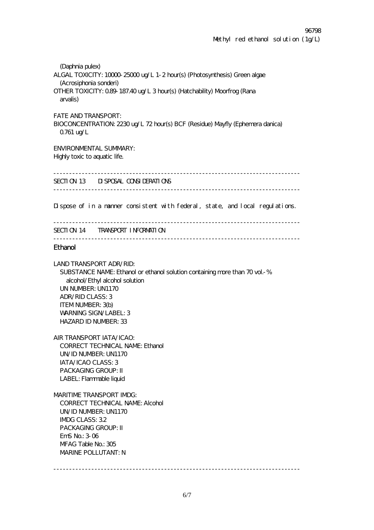(Daphnia pulex) ALGAL TOXICITY: 10000-25000 ug/L 1-2 hour(s) (Photosynthesis) Green algae (Acrosiphonia sonderi) OTHER TOXICITY: 0.89-187.40 ug/L 3 hour(s) (Hatchability) Moorfrog (Rana arvalis) FATE AND TRANSPORT: BIOCONCENTRATION: 2230 ug/L 72 hour(s) BCF (Residue) Mayfly (Ephemera danica) 0.761 ug/L ENVIRONMENTAL SUMMARY: Highly toxic to aquatic life. ------------------------------------------------------------------------------ SECTION 13 DISPOSAL CONSIDERATIONS ------------------------------------------------------------------------------ Dispose of in a manner consistent with federal, state, and local regulations. ------------------------------------------------------------------------------ SECTION 14 TRANSPORT INFORMATION ------------------------------------------------------------------------------ Ethanol LAND TRANSPORT ADR/RID: SUBSTANCE NAME: Ethanol or ethanol solution containing more than 70 vol.-% alcohol/Ethyl alcohol solution UN NUMBER: UN1170 ADR/RID CLASS: 3 ITEM NUMBER: 3(b) WARNING SIGN/LABEL: 3 HAZARD ID NUMBER: 33 AIR TRANSPORT IATA/ICAO: CORRECT TECHNICAL NAME: Ethanol UN/ID NUMBER: UN1170 IATA/ICAO CLASS: 3 PACKAGING GROUP: II LABEL: Flammable liquid MARITIME TRANSPORT IMDG: CORRECT TECHNICAL NAME: Alcohol UN/ID NUMBER: UN1170 IMDG CLASS: 3.2 PACKAGING GROUP: II EmS No.: 3-06 MFAG Table No.: 305 MARINE POLLUTANT: N ------------------------------------------------------------------------------